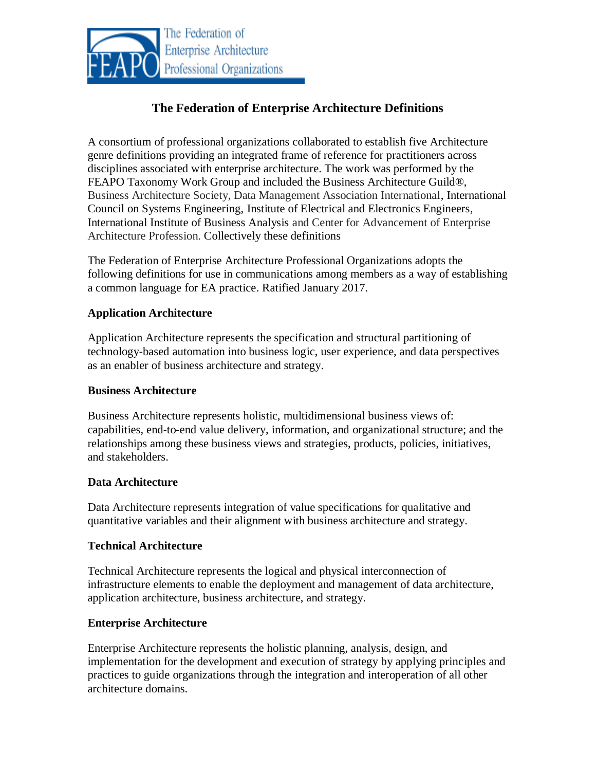

# **The Federation of Enterprise Architecture Definitions**

A consortium of professional organizations collaborated to establish five Architecture genre definitions providing an integrated frame of reference for practitioners across disciplines associated with enterprise architecture. The work was performed by the FEAPO Taxonomy Work Group and included the Business Architecture Guild®, Business Architecture Society, Data Management Association International, International Council on Systems Engineering, Institute of Electrical and Electronics Engineers, International Institute of Business Analysis and Center for Advancement of Enterprise Architecture Profession. Collectively these definitions

The Federation of Enterprise Architecture Professional Organizations adopts the following definitions for use in communications among members as a way of establishing a common language for EA practice. Ratified January 2017.

## **Application Architecture**

Application Architecture represents the specification and structural partitioning of technology‐based automation into business logic, user experience, and data perspectives as an enabler of business architecture and strategy.

### **Business Architecture**

Business Architecture represents holistic, multidimensional business views of: capabilities, end‐to‐end value delivery, information, and organizational structure; and the relationships among these business views and strategies, products, policies, initiatives, and stakeholders.

## **Data Architecture**

Data Architecture represents integration of value specifications for qualitative and quantitative variables and their alignment with business architecture and strategy.

## **Technical Architecture**

Technical Architecture represents the logical and physical interconnection of infrastructure elements to enable the deployment and management of data architecture, application architecture, business architecture, and strategy.

## **Enterprise Architecture**

Enterprise Architecture represents the holistic planning, analysis, design, and implementation for the development and execution of strategy by applying principles and practices to guide organizations through the integration and interoperation of all other architecture domains.